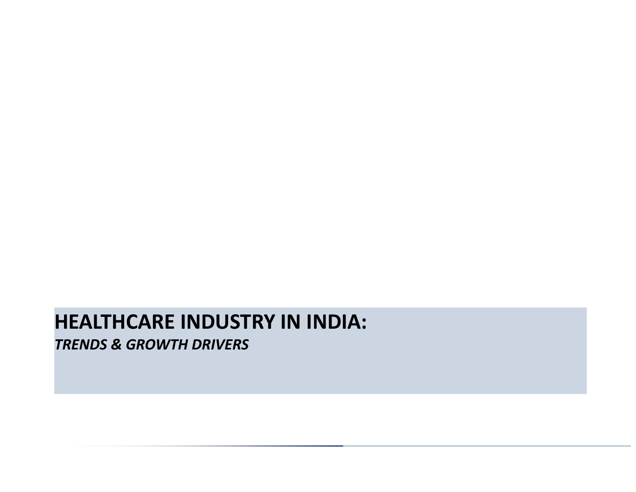# **HEALTHCARE INDUSTRY IN INDIA:** *TRENDS & GROWTH DRIVERS*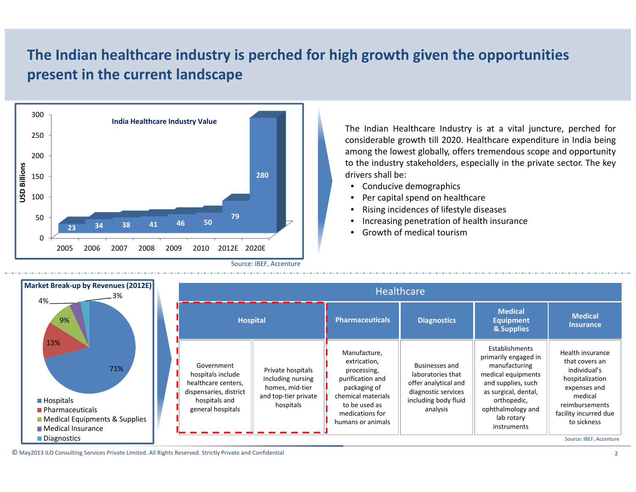# **The Indian healthcare industry is perched for high growth given the opportunities present in the current landscape**



The Indian Healthcare Industry is at <sup>a</sup> vital juncture, perched for considerable growth till 2020. Healthcare expenditure in India being among the lowest globally, offers tremendous scope and opportunity to the industry stakeholders, especially in the private sector. The key drivers shall be:

- Conducive demographics
- •Per capital spend on healthcare
- •Rising incidences of lifestyle diseases
- •Increasing penetration of health insurance
- •Growth of medical tourism

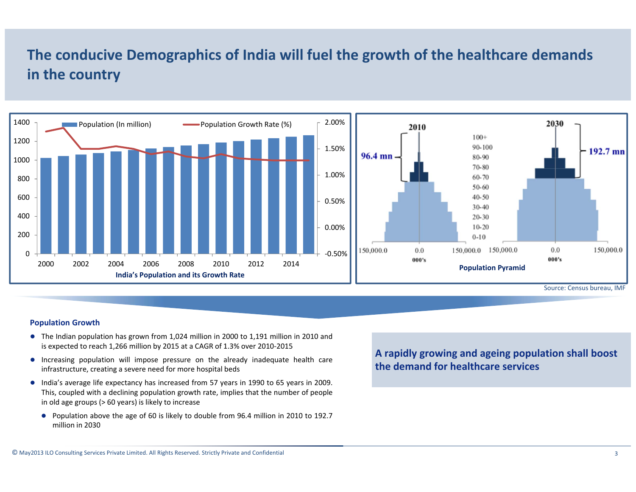### **The conducive Demographics of India will fuel the growth of the healthcare demands in the country**



#### **Population Growth**

- $\bullet$  The Indian population has grown from 1,024 million in 2000 to 1,191 million in 2010 and is expected to reach 1,266 million by 2015 at <sup>a</sup> CAGR of 1.3% over 2010‐2015
- Increasing population will impose pressure on the already inadequate health care infrastructure, creating <sup>a</sup> severe need for more hospital beds
- India's average life expectancy has increased from 57 years in 1990 to 65 years in 2009. This, coupled with <sup>a</sup> declining population growth rate, implies that the number of people in old age groups (> 60 years) is likely to increase
	- Population above the age of 60 is likely to double from 96.4 million in 2010 to 192.7 million in 2030

**A rapidly growing and ageing population shall boost the demand for healthcare services**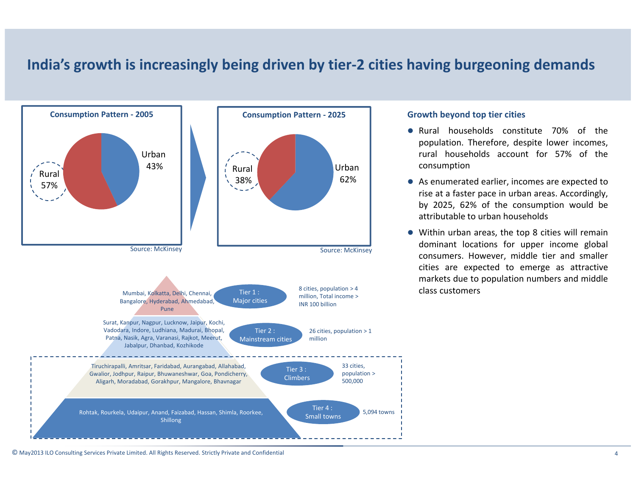#### **India's growth is increasingly being driven by tier‐2 cities having burgeoning demands**



- Rural households constitute 70% of the population. Therefore, despite lower incomes, rural households account for 57% of theconsumption
- As enumerated earlier, incomes are expected to rise at <sup>a</sup> faster pace in urban areas. Accordingly, by 2025, 62% of the consumption would be attributable to urban households
- Within urban areas, the top 8 cities will remain dominant locations for upper income global consumers. However, middle tier and smaller cities are expected to emerge as attractive markets due to population numbers and middle class customers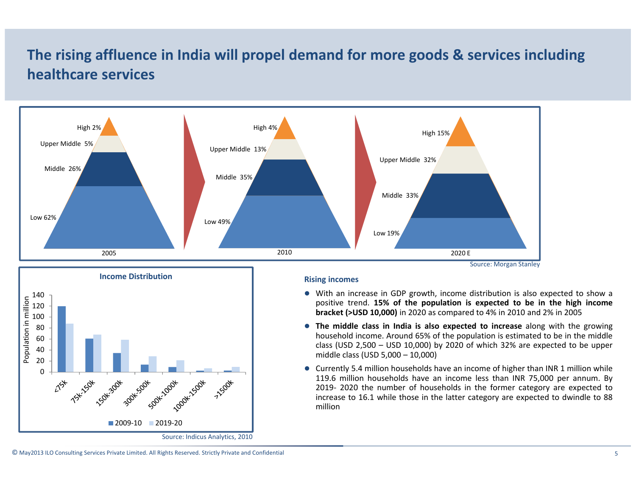# **The rising affluence in India will propel demand for more goods & services including healthcare services**





#### **Rising incomes**

- $\bullet$  With an increase in GDP growth, income distribution is also expected to show a positive trend. 15% of the population is expected to be in the high income **bracket (>USD 10,000)** in 2020 as compared to 4% in 2010 and 2% in 2005
- z **The middle class in India is also expected to increase** along with the growing household income. Around 65% of the population is estimated to be in the middle class (USD 2,500 – USD 10,000) by 2020 of which 32% are expected to be upper middle class (USD 5,000 – 10,000)
- $\bullet$  Currently 5.4 million households have an income of higher than INR 1 million while 119.6 million households have an income less than INR 75,000 per annum. By 2019‐ 2020 the number of households in the former category are expected to increase to 16.1 while those in the latter category are expected to dwindle to 88 million

© May2013 ILO Consulting Services Private Limited. All Rights Reserved. Strictly Private and Confidential 5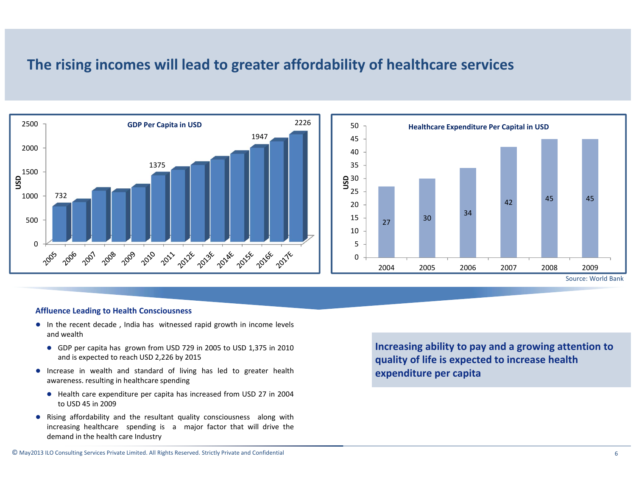#### **The rising incomes will lead to greater affordability of healthcare services**



#### **Affluence Leading to Health Consciousness**

- $\bullet$  In the recent decade, India has witnessed rapid growth in income levels and wealth
	- GDP per capita has grown from USD 729 in 2005 to USD 1,375 in 2010 and is expected to reach USD 2,226 by 2015
- Increase in wealth and standard of living has led to greater health awareness. resulting in healthcare spending
	- Health care expenditure per capita has increased from USD 27 in 2004 to USD 45 in 2009
- Rising affordability and the resultant quality consciousness along with increasing healthcare spending is <sup>a</sup> major factor that will drive the demand in the health care Industry

**Increasing ability to pay and <sup>a</sup> growing attention to quality of life is expected to increase health expenditure per capita**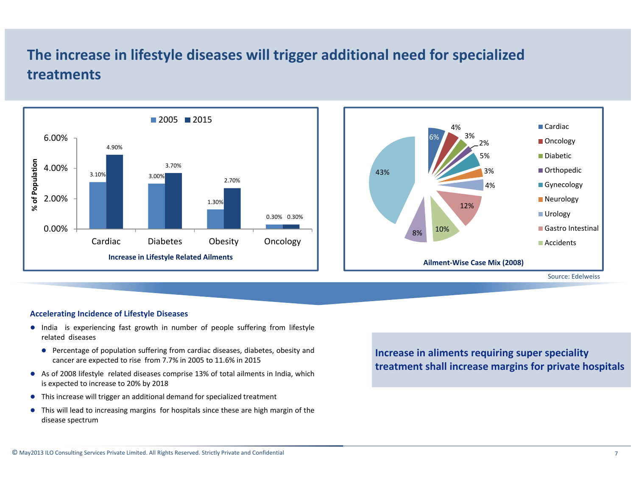### **The increase in lifestyle diseases will trigger additional need for specialized treatments**





#### **Accelerating Incidence of Lifestyle Diseases**

- India is experiencing fast growth in number of people suffering from lifestyle related diseases
	- Percentage of population suffering from cardiac diseases, diabetes, obesity and cancer are expected to rise from 7.7% in 2005 to 11.6% in 2015
- $\bullet$  As of 2008 lifestyle related diseases comprise 13% of total ailments in India, which is expected to increase to 20% by 2018
- This increase will trigger an additional demand for specialized treatment
- $\bullet$  This will lead to increasing margins for hospitals since these are high margin of the disease spectrum

**Increase in aliments requiring super speciality treatment shall increase margins for private hospitals**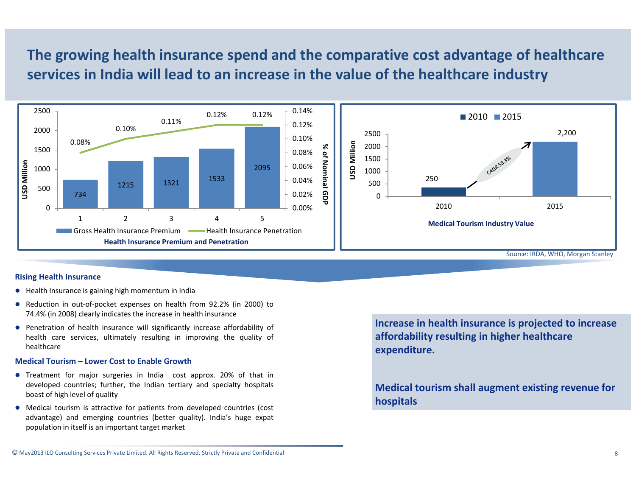### **The growing health insurance spend and the comparative cost advantage of healthcare services in India will lead to an increase in the value of the healthcare industry**



#### **Rising Health Insurance**

- $\bullet$  Health Insurance is gaining high momentum in India
- Reduction in out-of-pocket expenses on health from 92.2% (in 2000) to 74.4% (in 2008) clearly indicates the increase in health insurance
- Penetration of health insurance will significantly increase affordability of health care services, ultimately resulting in improving the quality of healthcare

#### **Medical Tourism – Lower Cost to Enable Growth**

- Treatment for major surgeries in India cost approx. 20% of that in developed countries; further, the Indian tertiary and specialty hospitals boast of high level of quality
- O Medical tourism is attractive for patients from developed countries (cost advantage) and emerging countries (better quality). India's huge expat population in itself is an important target market

**Increase in health insurance is projected to increase affordability resulting in higher healthcare expenditure.**

**Medical tourism shall augment existing revenue for hospitals**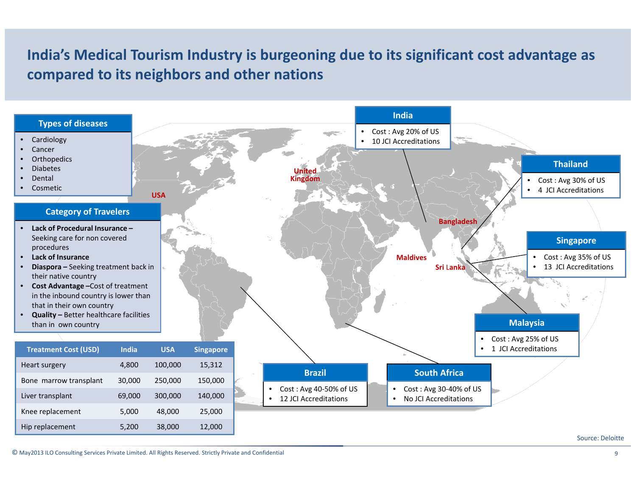## **India's Medical Tourism Industry is burgeoning due to its significant cost advantage as compared to its neighbors and other nations**

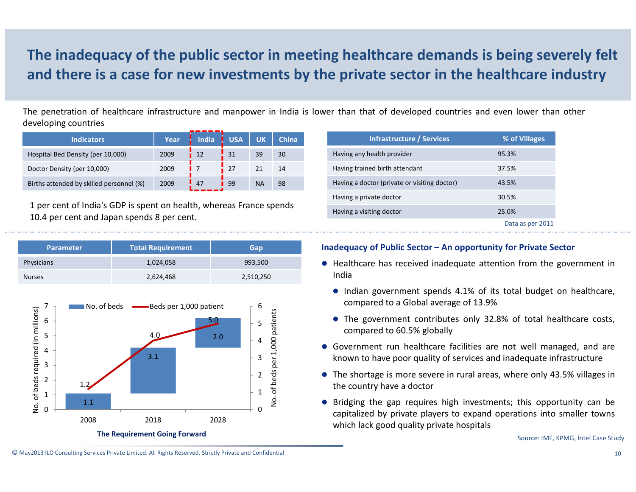# **The inadequacy of the public sector in meeting healthcare demands is being severely felt and there is <sup>a</sup> case for new investments by the private sector in the healthcare industry**

The penetration of healthcare infrastructure and manpower in India is lower than that of developed countries and even lower than other developing countries

| <b>Indicators</b>                        | Year | <b>India</b> | <b>USA</b> | <b>UK</b> | <b>China</b> |
|------------------------------------------|------|--------------|------------|-----------|--------------|
| Hospital Bed Density (per 10,000)        | 2009 | 12           |            | 39        | 30           |
| Doctor Density (per 10,000)              | 2009 |              | 27         |           | 14           |
| Births attended by skilled personnel (%) | 2009 | 47           | 99         | <b>NA</b> | 98           |

1 per cent of India's GDP is spent on health, whereas France spends 10.4 per cent and Japan spends 8 per cent.

| <b>Parameter</b> | Total Requirement | Gap       |
|------------------|-------------------|-----------|
| Physicians       | 1,024,058         | 993,500   |
| <b>Nurses</b>    | 2,624,468         | 2,510,250 |



| <b>Infrastructure / Services</b>             | % of Villages    |  |  |
|----------------------------------------------|------------------|--|--|
| Having any health provider                   | 95.3%            |  |  |
| Having trained birth attendant               | 37.5%            |  |  |
| Having a doctor (private or visiting doctor) | 43.5%            |  |  |
| Having a private doctor                      | 30.5%            |  |  |
| Having a visiting doctor                     | 25.0%            |  |  |
|                                              | Data as per 2011 |  |  |

#### **Inadequacy of Public Sector – An opportunity for Private Sector**

- $\bullet$  Healthcare has received inadequate attention from the government in India
	- Indian government spends 4.1% of its total budget on healthcare, compared to <sup>a</sup> Global average of 13.9%
	- The government contributes only 32.8% of total healthcare costs, compared to 60.5% globally
- Government run healthcare facilities are not well managed, and are known to have poor quality of services and inadequate infrastructure
- $\bullet$  The shortage is more severe in rural areas, where only 43.5% villages in the country have <sup>a</sup> doctor
- Bridging the gap requires high investments; this opportunity can be capitalized by private players to expand operations into smaller towns which lack good quality private hospitals

© May2013 ILO Consulting Services Private Limited. All Rights Reserved. Strictly Private and Confidential 10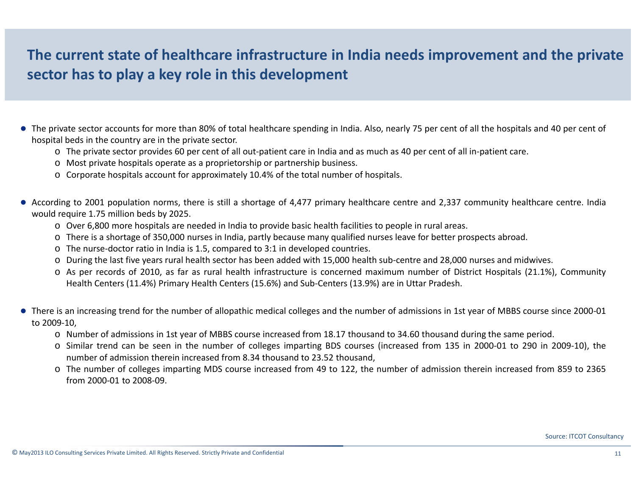## **The current state of healthcare infrastructure in India needs improvement and the private sector has to play <sup>a</sup> key role in this development**

- The private sector accounts for more than 80% of total healthcare spending in India. Also, nearly 75 per cent of all the hospitals and 40 per cent of hospital beds in the country are in the private sector.
	- o The private sector provides 60 per cent of all out‐patient care in India and as much as 40 per cent of all in‐patient care.
	- o Most private hospitals operate as <sup>a</sup> proprietorship or partnership business.
	- o Corporate hospitals account for approximately 10.4% of the total number of hospitals.
- According to 2001 population norms, there is still a shortage of 4,477 primary healthcare centre and 2,337 community healthcare centre. India would require 1.75 million beds by 2025.
	- o Over 6,800 more hospitals are needed in India to provide basic health facilities to people in rural areas.
	- o There is <sup>a</sup> shortage of 350,000 nurses in India, partly because many qualified nurses leave for better prospects abroad.
	- o The nurse‐doctor ratio in India is 1.5, compared to 3:1 in developed countries.
	- o During the last five years rural health sector has been added with 15,000 health sub‐centre and 28,000 nurses and midwives.
	- o As per records of 2010, as far as rural health infrastructure is concerned maximum number of District Hospitals (21.1%), Community Health Centers (11.4%) Primary Health Centers (15.6%) and Sub‐Centers (13.9%) are in Uttar Pradesh.
- There is an increasing trend for the number of allopathic medical colleges and the number of admissions in 1st year of MBBS course since 2000-01 to 2009‐10,
	- o Number of admissions in 1st year of MBBS course increased from 18.17 thousand to 34.60 thousand during the same period.
	- o Similar trend can be seen in the number of colleges imparting BDS courses (increased from 135 in 2000‐01 to 290 in 2009‐10), the number of admission therein increased from 8.34 thousand to 23.52 thousand,
	- o The number of colleges imparting MDS course increased from 49 to 122, the number of admission therein increased from 859 to 2365 from 2000‐01 to 2008‐09.